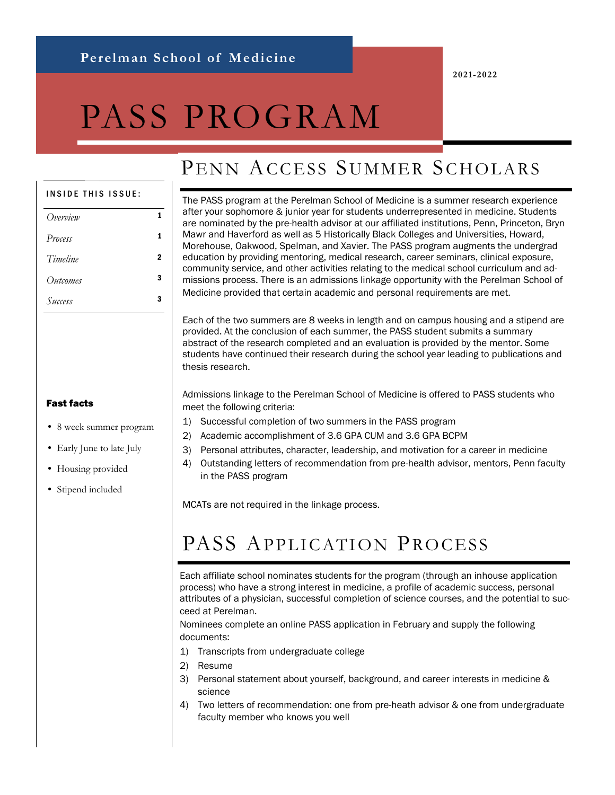**2021-2022**

# PASS PROGRAM

### PENN ACCESS SUMMER SCHOLARS

#### INSIDE THIS ISSUE:

| Overview |   |
|----------|---|
| Process  |   |
| Timeline | 2 |
| Outcomes | 3 |
| Success  | 3 |

The PASS program at the Perelman School of Medicine is a summer research experience after your sophomore & junior year for students underrepresented in medicine. Students are nominated by the pre-health advisor at our affiliated institutions, Penn, Princeton, Bryn Mawr and Haverford as well as 5 Historically Black Colleges and Universities, Howard, Morehouse, Oakwood, Spelman, and Xavier. The PASS program augments the undergrad education by providing mentoring, medical research, career seminars, clinical exposure, community service, and other activities relating to the medical school curriculum and admissions process. There is an admissions linkage opportunity with the Perelman School of Medicine provided that certain academic and personal requirements are met.

Each of the two summers are 8 weeks in length and on campus housing and a stipend are provided. At the conclusion of each summer, the PASS student submits a summary abstract of the research completed and an evaluation is provided by the mentor. Some students have continued their research during the school year leading to publications and thesis research.

Admissions linkage to the Perelman School of Medicine is offered to PASS students who meet the following criteria:

- 1) Successful completion of two summers in the PASS program
- 2) Academic accomplishment of 3.6 GPA CUM and 3.6 GPA BCPM
- 3) Personal attributes, character, leadership, and motivation for a career in medicine
- 4) Outstanding letters of recommendation from pre-health advisor, mentors, Penn faculty in the PASS program

MCATs are not required in the linkage process.

### PASS APPLICATION PROCESS

Each affiliate school nominates students for the program (through an inhouse application process) who have a strong interest in medicine, a profile of academic success, personal attributes of a physician, successful completion of science courses, and the potential to succeed at Perelman.

Nominees complete an online PASS application in February and supply the following documents:

- 1) Transcripts from undergraduate college
- 2) Resume
- 3) Personal statement about yourself, background, and career interests in medicine & science
- 4) Two letters of recommendation: one from pre-heath advisor & one from undergraduate faculty member who knows you well

#### Fast facts

- 8 week summer program
- Early June to late July
- Housing provided
- Stipend included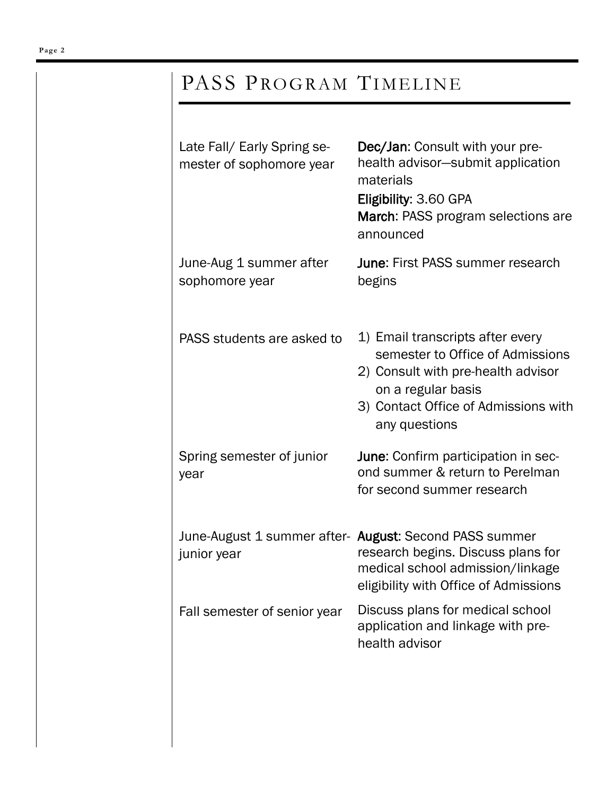## PASS PROGRAM TIMELINE

| March: PASS program selections are                                                                                                                                        |
|---------------------------------------------------------------------------------------------------------------------------------------------------------------------------|
| <b>June: First PASS summer research</b>                                                                                                                                   |
| 1) Email transcripts after every<br>semester to Office of Admissions<br>2) Consult with pre-health advisor<br>3) Contact Office of Admissions with                        |
| June: Confirm participation in sec-<br>ond summer & return to Perelman<br>for second summer research                                                                      |
| June-August 1 summer after- August: Second PASS summer<br>research begins. Discuss plans for<br>medical school admission/linkage<br>eligibility with Office of Admissions |
| Discuss plans for medical school<br>application and linkage with pre-                                                                                                     |
|                                                                                                                                                                           |